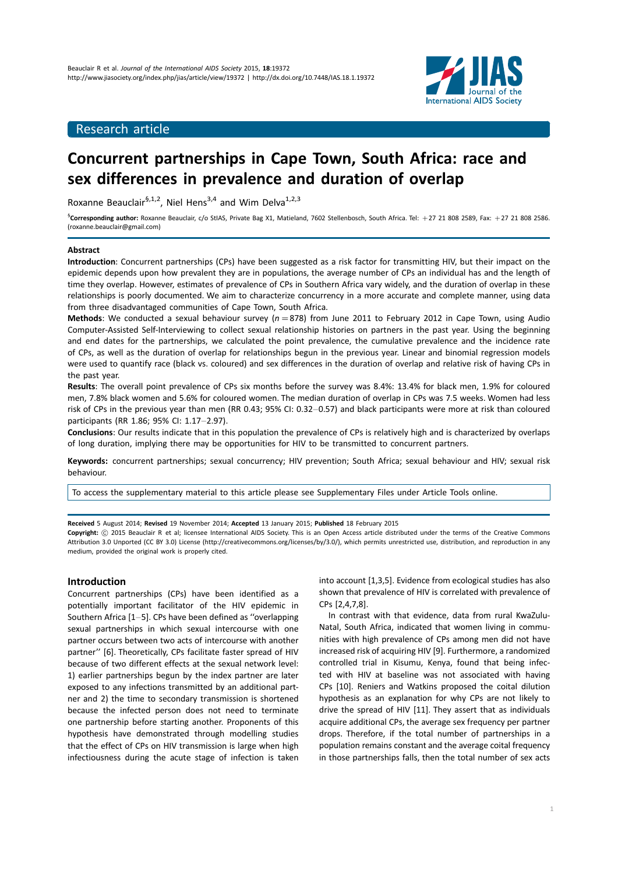

## Research article

# Concurrent partnerships in Cape Town, South Africa: race and sex differences in prevalence and duration of overlap

Roxanne Beauclair<sup>§,1,2</sup>, Niel Hens<sup>3,4</sup> and Wim Delva<sup>1,2,3</sup>

<sup>§</sup>Corresponding author: Roxanne Beauclair, c/o StIAS, Private Bag X1, Matieland, 7602 Stellenbosch, South Africa. Tel: +27 21 808 2589, Fax: +27 21 808 2586. (roxanne.beauclair@gmail.com)

#### Abstract

Introduction: Concurrent partnerships (CPs) have been suggested as a risk factor for transmitting HIV, but their impact on the epidemic depends upon how prevalent they are in populations, the average number of CPs an individual has and the length of time they overlap. However, estimates of prevalence of CPs in Southern Africa vary widely, and the duration of overlap in these relationships is poorly documented. We aim to characterize concurrency in a more accurate and complete manner, using data from three disadvantaged communities of Cape Town, South Africa.

Methods: We conducted a sexual behaviour survey ( $n=878$ ) from June 2011 to February 2012 in Cape Town, using Audio Computer-Assisted Self-Interviewing to collect sexual relationship histories on partners in the past year. Using the beginning and end dates for the partnerships, we calculated the point prevalence, the cumulative prevalence and the incidence rate of CPs, as well as the duration of overlap for relationships begun in the previous year. Linear and binomial regression models were used to quantify race (black vs. coloured) and sex differences in the duration of overlap and relative risk of having CPs in the past year.

Results: The overall point prevalence of CPs six months before the survey was 8.4%: 13.4% for black men, 1.9% for coloured men, 7.8% black women and 5.6% for coloured women. The median duration of overlap in CPs was 7.5 weeks. Women had less risk of CPs in the previous year than men (RR 0.43; 95% CI: 0.32-0.57) and black participants were more at risk than coloured participants (RR 1.86; 95% CI: 1.17-2.97).

Conclusions: Our results indicate that in this population the prevalence of CPs is relatively high and is characterized by overlaps of long duration, implying there may be opportunities for HIV to be transmitted to concurrent partners.

Keywords: concurrent partnerships; sexual concurrency; HIV prevention; South Africa; sexual behaviour and HIV; sexual risk behaviour.

[To access the supplementary material to this article please see Supplementary Files under Article Tools online.](http://www.jiasociety.org/index.php/jias/rt/suppFiles/19372/0)

Received 5 August 2014; Revised 19 November 2014; Accepted 13 January 2015; Published 18 February 2015

Copyright: © 2015 Beauclair R et al; licensee International AIDS Society. This is an Open Access article distributed under the terms of the Creative Commons Attribution 3.0 Unported (CC BY 3.0) License (http://creativecommons.org/licenses/by/3.0/), which permits unrestricted use, distribution, and reproduction in any medium, provided the original work is properly cited.

## Introduction

Concurrent partnerships (CPs) have been identified as a potentially important facilitator of the HIV epidemic in Southern Africa  $[1-5]$ . CPs have been defined as "overlapping sexual partnerships in which sexual intercourse with one partner occurs between two acts of intercourse with another partner'' [6]. Theoretically, CPs facilitate faster spread of HIV because of two different effects at the sexual network level: 1) earlier partnerships begun by the index partner are later exposed to any infections transmitted by an additional partner and 2) the time to secondary transmission is shortened because the infected person does not need to terminate one partnership before starting another. Proponents of this hypothesis have demonstrated through modelling studies that the effect of CPs on HIV transmission is large when high infectiousness during the acute stage of infection is taken

into account [1,3,5]. Evidence from ecological studies has also shown that prevalence of HIV is correlated with prevalence of CPs [2,4,7,8].

In contrast with that evidence, data from rural KwaZulu-Natal, South Africa, indicated that women living in communities with high prevalence of CPs among men did not have increased risk of acquiring HIV [9]. Furthermore, a randomized controlled trial in Kisumu, Kenya, found that being infected with HIV at baseline was not associated with having CPs [10]. Reniers and Watkins proposed the coital dilution hypothesis as an explanation for why CPs are not likely to drive the spread of HIV [11]. They assert that as individuals acquire additional CPs, the average sex frequency per partner drops. Therefore, if the total number of partnerships in a population remains constant and the average coital frequency in those partnerships falls, then the total number of sex acts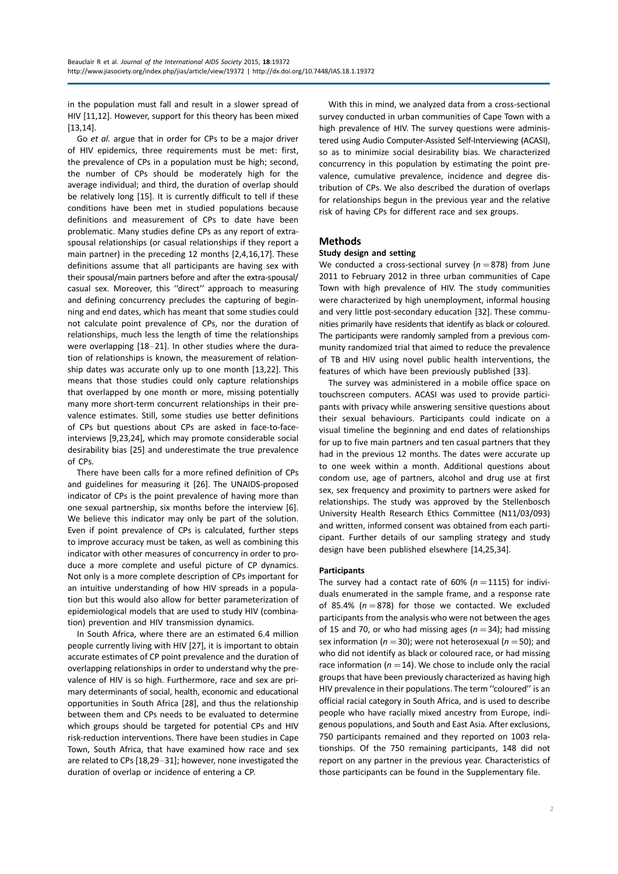in the population must fall and result in a slower spread of HIV [11,12]. However, support for this theory has been mixed [13,14].

Go et al. argue that in order for CPs to be a major driver of HIV epidemics, three requirements must be met: first, the prevalence of CPs in a population must be high; second, the number of CPs should be moderately high for the average individual; and third, the duration of overlap should be relatively long [15]. It is currently difficult to tell if these conditions have been met in studied populations because definitions and measurement of CPs to date have been problematic. Many studies define CPs as any report of extraspousal relationships (or casual relationships if they report a main partner) in the preceding 12 months [2,4,16,17]. These definitions assume that all participants are having sex with their spousal/main partners before and after the extra-spousal/ casual sex. Moreover, this ''direct'' approach to measuring and defining concurrency precludes the capturing of beginning and end dates, which has meant that some studies could not calculate point prevalence of CPs, nor the duration of relationships, much less the length of time the relationships were overlapping  $[18-21]$ . In other studies where the duration of relationships is known, the measurement of relationship dates was accurate only up to one month [13,22]. This means that those studies could only capture relationships that overlapped by one month or more, missing potentially many more short-term concurrent relationships in their prevalence estimates. Still, some studies use better definitions of CPs but questions about CPs are asked in face-to-faceinterviews [9,23,24], which may promote considerable social desirability bias [25] and underestimate the true prevalence of CPs.

There have been calls for a more refined definition of CPs and guidelines for measuring it [26]. The UNAIDS-proposed indicator of CPs is the point prevalence of having more than one sexual partnership, six months before the interview [6]. We believe this indicator may only be part of the solution. Even if point prevalence of CPs is calculated, further steps to improve accuracy must be taken, as well as combining this indicator with other measures of concurrency in order to produce a more complete and useful picture of CP dynamics. Not only is a more complete description of CPs important for an intuitive understanding of how HIV spreads in a population but this would also allow for better parameterization of epidemiological models that are used to study HIV (combination) prevention and HIV transmission dynamics.

In South Africa, where there are an estimated 6.4 million people currently living with HIV [27], it is important to obtain accurate estimates of CP point prevalence and the duration of overlapping relationships in order to understand why the prevalence of HIV is so high. Furthermore, race and sex are primary determinants of social, health, economic and educational opportunities in South Africa [28], and thus the relationship between them and CPs needs to be evaluated to determine which groups should be targeted for potential CPs and HIV risk-reduction interventions. There have been studies in Cape Town, South Africa, that have examined how race and sex are related to CPs [18,29-31]; however, none investigated the duration of overlap or incidence of entering a CP.

With this in mind, we analyzed data from a cross-sectional survey conducted in urban communities of Cape Town with a high prevalence of HIV. The survey questions were administered using Audio Computer-Assisted Self-Interviewing (ACASI), so as to minimize social desirability bias. We characterized concurrency in this population by estimating the point prevalence, cumulative prevalence, incidence and degree distribution of CPs. We also described the duration of overlaps for relationships begun in the previous year and the relative risk of having CPs for different race and sex groups.

## Methods

## Study design and setting

We conducted a cross-sectional survey ( $n=878$ ) from June 2011 to February 2012 in three urban communities of Cape Town with high prevalence of HIV. The study communities were characterized by high unemployment, informal housing and very little post-secondary education [32]. These communities primarily have residents that identify as black or coloured. The participants were randomly sampled from a previous community randomized trial that aimed to reduce the prevalence of TB and HIV using novel public health interventions, the features of which have been previously published [33].

The survey was administered in a mobile office space on touchscreen computers. ACASI was used to provide participants with privacy while answering sensitive questions about their sexual behaviours. Participants could indicate on a visual timeline the beginning and end dates of relationships for up to five main partners and ten casual partners that they had in the previous 12 months. The dates were accurate up to one week within a month. Additional questions about condom use, age of partners, alcohol and drug use at first sex, sex frequency and proximity to partners were asked for relationships. The study was approved by the Stellenbosch University Health Research Ethics Committee (N11/03/093) and written, informed consent was obtained from each participant. Further details of our sampling strategy and study design have been published elsewhere [14,25,34].

## **Participants**

The survey had a contact rate of 60% ( $n=1115$ ) for individuals enumerated in the sample frame, and a response rate of 85.4% ( $n=878$ ) for those we contacted. We excluded participants from the analysis who were not between the ages of 15 and 70, or who had missing ages ( $n=34$ ); had missing sex information ( $n=30$ ); were not heterosexual ( $n=50$ ); and who did not identify as black or coloured race, or had missing race information ( $n=14$ ). We chose to include only the racial groups that have been previously characterized as having high HIV prevalence in their populations. The term "coloured" is an official racial category in South Africa, and is used to describe people who have racially mixed ancestry from Europe, indigenous populations, and South and East Asia. After exclusions, 750 participants remained and they reported on 1003 relationships. Of the 750 remaining participants, 148 did not report on any partner in the previous year. Characteristics of those participants can be found in the [Supplementary file](http://www.jiasociety.org/index.php/jias/rt/suppFiles/19372/0).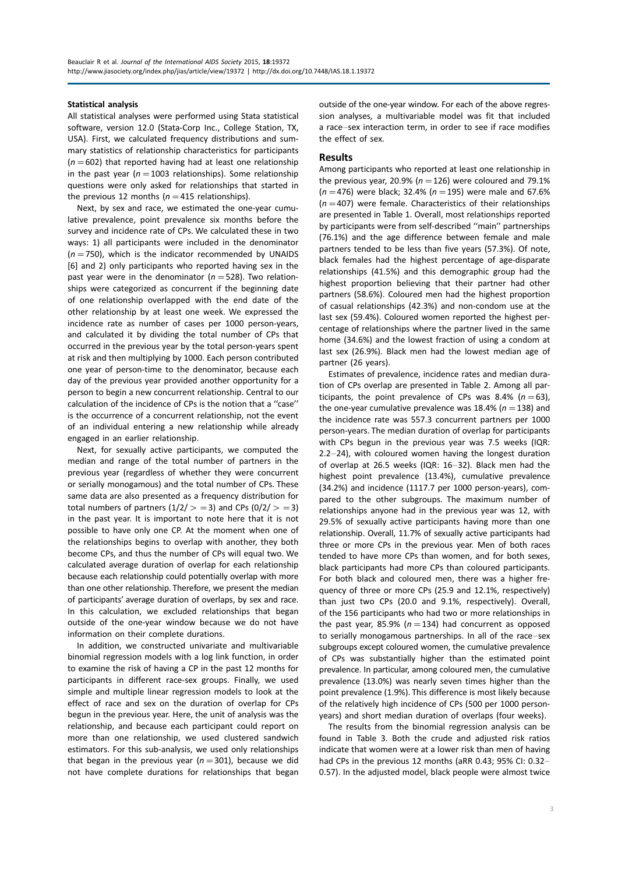#### Statistical analysis

All statistical analyses were performed using Stata statistical software, version 12.0 (Stata-Corp Inc., College Station, TX, USA). First, we calculated frequency distributions and summary statistics of relationship characteristics for participants  $(n=602)$  that reported having had at least one relationship in the past year ( $n=1003$  relationships). Some relationship questions were only asked for relationships that started in the previous 12 months ( $n=415$  relationships).

Next, by sex and race, we estimated the one-year cumulative prevalence, point prevalence six months before the survey and incidence rate of CPs. We calculated these in two ways: 1) all participants were included in the denominator  $(n=750)$ , which is the indicator recommended by UNAIDS [6] and 2) only participants who reported having sex in the past year were in the denominator ( $n=528$ ). Two relationships were categorized as concurrent if the beginning date of one relationship overlapped with the end date of the other relationship by at least one week. We expressed the incidence rate as number of cases per 1000 person-years, and calculated it by dividing the total number of CPs that occurred in the previous year by the total person-years spent at risk and then multiplying by 1000. Each person contributed one year of person-time to the denominator, because each day of the previous year provided another opportunity for a person to begin a new concurrent relationship. Central to our calculation of the incidence of CPs is the notion that a ''case'' is the occurrence of a concurrent relationship, not the event of an individual entering a new relationship while already engaged in an earlier relationship.

Next, for sexually active participants, we computed the median and range of the total number of partners in the previous year (regardless of whether they were concurrent or serially monogamous) and the total number of CPs. These same data are also presented as a frequency distribution for total numbers of partners  $(1/2/ > = 3)$  and CPs  $(0/2/ > = 3)$ in the past year. It is important to note here that it is not possible to have only one CP. At the moment when one of the relationships begins to overlap with another, they both become CPs, and thus the number of CPs will equal two. We calculated average duration of overlap for each relationship because each relationship could potentially overlap with more than one other relationship. Therefore, we present the median of participants' average duration of overlaps, by sex and race. In this calculation, we excluded relationships that began outside of the one-year window because we do not have information on their complete durations.

In addition, we constructed univariate and multivariable binomial regression models with a log link function, in order to examine the risk of having a CP in the past 12 months for participants in different race-sex groups. Finally, we used simple and multiple linear regression models to look at the effect of race and sex on the duration of overlap for CPs begun in the previous year. Here, the unit of analysis was the relationship, and because each participant could report on more than one relationship, we used clustered sandwich estimators. For this sub-analysis, we used only relationships that began in the previous year  $(n=301)$ , because we did not have complete durations for relationships that began outside of the one-year window. For each of the above regression analyses, a multivariable model was fit that included a race-sex interaction term, in order to see if race modifies the effect of sex.

## Results

Among participants who reported at least one relationship in the previous year, 20.9% ( $n=126$ ) were coloured and 79.1%  $(n=476)$  were black; 32.4% ( $n=195$ ) were male and 67.6%  $(n=407)$  were female. Characteristics of their relationships are presented in Table 1. Overall, most relationships reported by participants were from self-described ''main'' partnerships (76.1%) and the age difference between female and male partners tended to be less than five years (57.3%). Of note, black females had the highest percentage of age-disparate relationships (41.5%) and this demographic group had the highest proportion believing that their partner had other partners (58.6%). Coloured men had the highest proportion of casual relationships (42.3%) and non-condom use at the last sex (59.4%). Coloured women reported the highest percentage of relationships where the partner lived in the same home (34.6%) and the lowest fraction of using a condom at last sex (26.9%). Black men had the lowest median age of partner (26 years).

Estimates of prevalence, incidence rates and median duration of CPs overlap are presented in Table 2. Among all participants, the point prevalence of CPs was 8.4% ( $n=63$ ), the one-year cumulative prevalence was 18.4% ( $n=138$ ) and the incidence rate was 557.3 concurrent partners per 1000 person-years. The median duration of overlap for participants with CPs begun in the previous year was 7.5 weeks (IQR: 2.2-24), with coloured women having the longest duration of overlap at 26.5 weeks (IQR: 16-32). Black men had the highest point prevalence (13.4%), cumulative prevalence (34.2%) and incidence (1117.7 per 1000 person-years), compared to the other subgroups. The maximum number of relationships anyone had in the previous year was 12, with 29.5% of sexually active participants having more than one relationship. Overall, 11.7% of sexually active participants had three or more CPs in the previous year. Men of both races tended to have more CPs than women, and for both sexes, black participants had more CPs than coloured participants. For both black and coloured men, there was a higher frequency of three or more CPs (25.9 and 12.1%, respectively) than just two CPs (20.0 and 9.1%, respectively). Overall, of the 156 participants who had two or more relationships in the past year, 85.9% ( $n=134$ ) had concurrent as opposed to serially monogamous partnerships. In all of the race-sex subgroups except coloured women, the cumulative prevalence of CPs was substantially higher than the estimated point prevalence. In particular, among coloured men, the cumulative prevalence (13.0%) was nearly seven times higher than the point prevalence (1.9%). This difference is most likely because of the relatively high incidence of CPs (500 per 1000 personyears) and short median duration of overlaps (four weeks).

The results from the binomial regression analysis can be found in Table 3. Both the crude and adjusted risk ratios indicate that women were at a lower risk than men of having had CPs in the previous 12 months (aRR 0.43; 95% CI: 0.32-0.57). In the adjusted model, black people were almost twice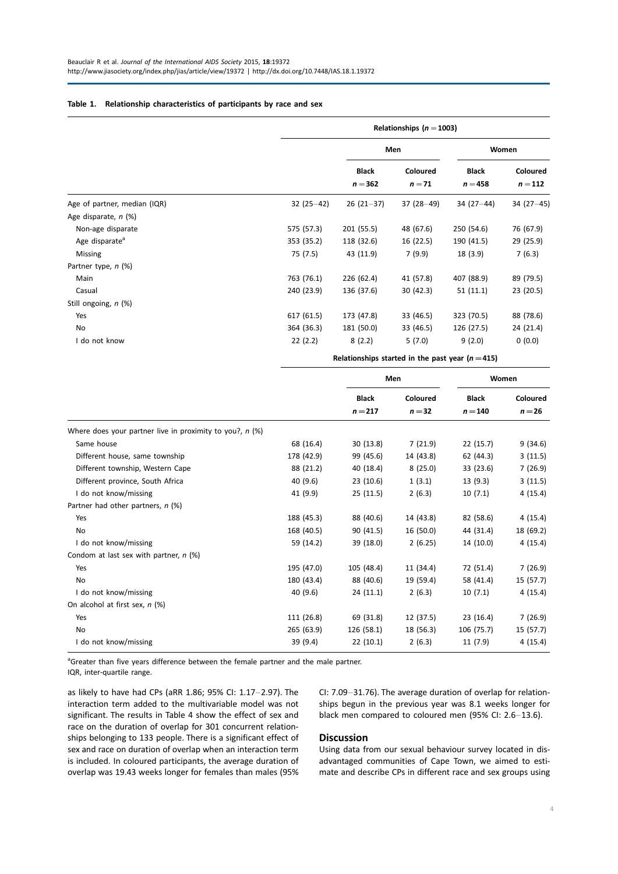## Table 1. Relationship characteristics of participants by race and sex

|                              |             | Relationships ( $n = 1003$ ) |                    |                           |                     |  |  |
|------------------------------|-------------|------------------------------|--------------------|---------------------------|---------------------|--|--|
|                              |             |                              | Men                | Women                     |                     |  |  |
|                              |             | <b>Black</b><br>$n = 362$    | Coloured<br>$n=71$ | <b>Black</b><br>$n = 458$ | Coloured<br>$n=112$ |  |  |
| Age of partner, median (IQR) | $32(25-42)$ | $26(21-37)$                  | $37(28-49)$        | $34(27-44)$               | $34(27-45)$         |  |  |
| Age disparate, n (%)         |             |                              |                    |                           |                     |  |  |
| Non-age disparate            | 575 (57.3)  | 201 (55.5)                   | 48 (67.6)          | 250 (54.6)                | 76 (67.9)           |  |  |
| Age disparate <sup>a</sup>   | 353 (35.2)  | 118 (32.6)                   | 16(22.5)           | 190 (41.5)                | 29 (25.9)           |  |  |
| Missing                      | 75 (7.5)    | 43 (11.9)                    | 7(9.9)             | 18(3.9)                   | 7(6.3)              |  |  |
| Partner type, n (%)          |             |                              |                    |                           |                     |  |  |
| Main                         | 763 (76.1)  | 226 (62.4)                   | 41 (57.8)          | 407 (88.9)                | 89 (79.5)           |  |  |
| Casual                       | 240 (23.9)  | 136 (37.6)                   | 30(42.3)           | 51(11.1)                  | 23 (20.5)           |  |  |
| Still ongoing, n (%)         |             |                              |                    |                           |                     |  |  |
| Yes                          | 617 (61.5)  | 173 (47.8)                   | 33 (46.5)          | 323 (70.5)                | 88 (78.6)           |  |  |
| No                           | 364 (36.3)  | 181 (50.0)                   | 33 (46.5)          | 126 (27.5)                | 24 (21.4)           |  |  |
| I do not know                | 22(2.2)     | 8(2.2)                       | 5(7.0)             | 9(2.0)                    | 0(0.0)              |  |  |

Relationships started in the past year  $(n=415)$ 

|                                                            |            | Men                       |                      | Women                     |                      |
|------------------------------------------------------------|------------|---------------------------|----------------------|---------------------------|----------------------|
|                                                            |            | <b>Black</b><br>$n = 217$ | Coloured<br>$n = 32$ | <b>Black</b><br>$n = 140$ | Coloured<br>$n = 26$ |
| Where does your partner live in proximity to you?, $n$ (%) |            |                           |                      |                           |                      |
| Same house                                                 | 68 (16.4)  | 30(13.8)                  | 7(21.9)              | 22(15.7)                  | 9(34.6)              |
| Different house, same township                             | 178 (42.9) | 99 (45.6)                 | 14 (43.8)            | 62 (44.3)                 | 3(11.5)              |
| Different township, Western Cape                           | 88 (21.2)  | 40 (18.4)                 | 8(25.0)              | 33 (23.6)                 | 7(26.9)              |
| Different province, South Africa                           | 40 (9.6)   | 23(10.6)                  | 1(3.1)               | 13(9.3)                   | 3(11.5)              |
| I do not know/missing                                      | 41 (9.9)   | 25(11.5)                  | 2(6.3)               | 10(7.1)                   | 4(15.4)              |
| Partner had other partners, n (%)                          |            |                           |                      |                           |                      |
| Yes                                                        | 188 (45.3) | 88 (40.6)                 | 14 (43.8)            | 82 (58.6)                 | 4(15.4)              |
| No                                                         | 168 (40.5) | 90(41.5)                  | 16 (50.0)            | 44 (31.4)                 | 18 (69.2)            |
| I do not know/missing                                      | 59 (14.2)  | 39 (18.0)                 | 2(6.25)              | 14 (10.0)                 | 4(15.4)              |
| Condom at last sex with partner, $n$ (%)                   |            |                           |                      |                           |                      |
| Yes                                                        | 195 (47.0) | 105 (48.4)                | 11 (34.4)            | 72 (51.4)                 | 7(26.9)              |
| No                                                         | 180 (43.4) | 88 (40.6)                 | 19 (59.4)            | 58 (41.4)                 | 15 (57.7)            |
| I do not know/missing                                      | 40 (9.6)   | 24(11.1)                  | 2(6.3)               | 10(7.1)                   | 4(15.4)              |
| On alcohol at first sex, n (%)                             |            |                           |                      |                           |                      |
| Yes                                                        | 111 (26.8) | 69 (31.8)                 | 12 (37.5)            | 23 (16.4)                 | 7(26.9)              |
| No                                                         | 265 (63.9) | 126 (58.1)                | 18 (56.3)            | 106 (75.7)                | 15 (57.7)            |
| I do not know/missing                                      | 39 (9.4)   | 22(10.1)                  | 2(6.3)               | 11 (7.9)                  | 4(15.4)              |

<sup>a</sup>Greater than five years difference between the female partner and the male partner.

IQR, inter-quartile range.

as likely to have had CPs (aRR 1.86; 95% CI: 1.17-2.97). The interaction term added to the multivariable model was not significant. The results in Table 4 show the effect of sex and race on the duration of overlap for 301 concurrent relationships belonging to 133 people. There is a significant effect of sex and race on duration of overlap when an interaction term is included. In coloured participants, the average duration of overlap was 19.43 weeks longer for females than males (95% CI: 7.09-31.76). The average duration of overlap for relationships begun in the previous year was 8.1 weeks longer for black men compared to coloured men (95% CI: 2.6-13.6).

## **Discussion**

Using data from our sexual behaviour survey located in disadvantaged communities of Cape Town, we aimed to estimate and describe CPs in different race and sex groups using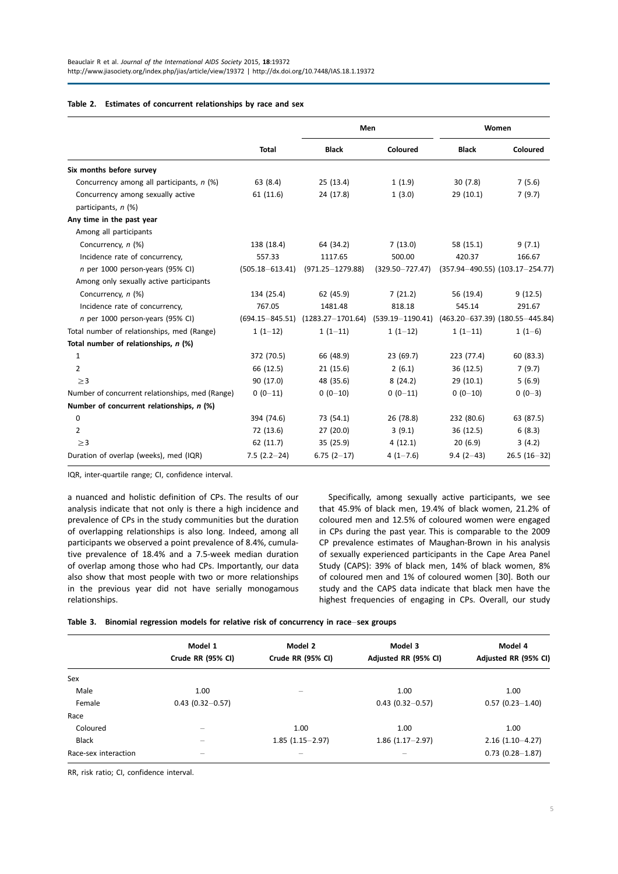#### Table 2. Estimates of concurrent relationships by race and sex

|                                                          |                     | Men                                       |                     | Women        |                                         |  |
|----------------------------------------------------------|---------------------|-------------------------------------------|---------------------|--------------|-----------------------------------------|--|
|                                                          | <b>Total</b>        | <b>Black</b>                              | Coloured            | <b>Black</b> | Coloured                                |  |
| Six months before survey                                 |                     |                                           |                     |              |                                         |  |
| Concurrency among all participants, n (%)                | 63 (8.4)            | 25(13.4)                                  | 1(1.9)              | 30(7.8)      | 7(5.6)                                  |  |
| Concurrency among sexually active<br>participants, n (%) | 61(11.6)            | 24 (17.8)                                 | 1(3.0)              | 29(10.1)     | 7(9.7)                                  |  |
| Any time in the past year                                |                     |                                           |                     |              |                                         |  |
| Among all participants                                   |                     |                                           |                     |              |                                         |  |
| Concurrency, n (%)                                       | 138 (18.4)          | 64 (34.2)                                 | 7(13.0)             | 58 (15.1)    | 9(7.1)                                  |  |
| Incidence rate of concurrency,                           | 557.33              | 1117.65                                   | 500.00              | 420.37       | 166.67                                  |  |
| n per 1000 person-years (95% CI)                         | $(505.18 - 613.41)$ | $(971.25 - 1279.88)$                      | $(329.50 - 727.47)$ |              | $(357.94 - 490.55)$ $(103.17 - 254.77)$ |  |
| Among only sexually active participants                  |                     |                                           |                     |              |                                         |  |
| Concurrency, n (%)                                       | 134 (25.4)          | 62 (45.9)                                 | 7(21.2)             | 56 (19.4)    | 9(12.5)                                 |  |
| Incidence rate of concurrency,                           | 767.05              | 1481.48                                   | 818.18              | 545.14       | 291.67                                  |  |
| n per 1000 person-years (95% CI)                         |                     | $(694.15 - 845.51)$ $(1283.27 - 1701.64)$ | (539.19-1190.41)    |              | $(463.20 - 637.39)$ $(180.55 - 445.84)$ |  |
| Total number of relationships, med (Range)               | $1(1-12)$           | $1(1-11)$                                 | $1(1-12)$           | $1(1-11)$    | $1(1-6)$                                |  |
| Total number of relationships, n (%)                     |                     |                                           |                     |              |                                         |  |
| 1                                                        | 372 (70.5)          | 66 (48.9)                                 | 23 (69.7)           | 223 (77.4)   | 60 (83.3)                               |  |
| $\overline{2}$                                           | 66 (12.5)           | 21(15.6)                                  | 2(6.1)              | 36 (12.5)    | 7(9.7)                                  |  |
| $\geq$ 3                                                 | 90 (17.0)           | 48 (35.6)                                 | 8(24.2)             | 29(10.1)     | 5(6.9)                                  |  |
| Number of concurrent relationships, med (Range)          | $0(0-11)$           | $0(0-10)$                                 | $0(0-11)$           | $0(0-10)$    | $0(0-3)$                                |  |
| Number of concurrent relationships, n (%)                |                     |                                           |                     |              |                                         |  |
| 0                                                        | 394 (74.6)          | 73 (54.1)                                 | 26 (78.8)           | 232 (80.6)   | 63 (87.5)                               |  |
| 2                                                        | 72 (13.6)           | 27 (20.0)                                 | 3(9.1)              | 36(12.5)     | 6(8.3)                                  |  |
| $\geq$ 3                                                 | 62 (11.7)           | 35(25.9)                                  | 4(12.1)             | 20(6.9)      | 3(4.2)                                  |  |
| Duration of overlap (weeks), med (IQR)                   | $7.5(2.2-24)$       | $6.75(2-17)$                              | $4(1-7.6)$          | $9.4(2-43)$  | $26.5(16-32)$                           |  |

IQR, inter-quartile range; CI, confidence interval.

a nuanced and holistic definition of CPs. The results of our analysis indicate that not only is there a high incidence and prevalence of CPs in the study communities but the duration of overlapping relationships is also long. Indeed, among all participants we observed a point prevalence of 8.4%, cumulative prevalence of 18.4% and a 7.5-week median duration of overlap among those who had CPs. Importantly, our data also show that most people with two or more relationships in the previous year did not have serially monogamous relationships.

Specifically, among sexually active participants, we see that 45.9% of black men, 19.4% of black women, 21.2% of coloured men and 12.5% of coloured women were engaged in CPs during the past year. This is comparable to the 2009 CP prevalence estimates of Maughan-Brown in his analysis of sexually experienced participants in the Cape Area Panel Study (CAPS): 39% of black men, 14% of black women, 8% of coloured men and 1% of coloured women [30]. Both our study and the CAPS data indicate that black men have the highest frequencies of engaging in CPs. Overall, our study

|  |  |  |  |  |  |  | Table 3. Binomial regression models for relative risk of concurrency in race–sex groups |  |  |  |
|--|--|--|--|--|--|--|-----------------------------------------------------------------------------------------|--|--|--|
|--|--|--|--|--|--|--|-----------------------------------------------------------------------------------------|--|--|--|

|                      | Model 1                  | Model 2           | Model 3              | Model 4              |
|----------------------|--------------------------|-------------------|----------------------|----------------------|
|                      | Crude RR (95% CI)        | Crude RR (95% CI) | Adjusted RR (95% CI) | Adjusted RR (95% CI) |
| Sex                  |                          |                   |                      |                      |
| Male                 | 1.00                     | -                 | 1.00                 | 1.00                 |
| Female               | $0.43(0.32 - 0.57)$      |                   | $0.43$ (0.32-0.57)   | $0.57$ (0.23-1.40)   |
| Race                 |                          |                   |                      |                      |
| Coloured             |                          | 1.00              | 1.00                 | 1.00                 |
| <b>Black</b>         | $\overline{\phantom{m}}$ | $1.85(1.15-2.97)$ | $1.86$ (1.17 - 2.97) | $2.16(1.10-4.27)$    |
| Race-sex interaction | -                        |                   |                      | $0.73$ (0.28-1.87)   |

RR, risk ratio; CI, confidence interval.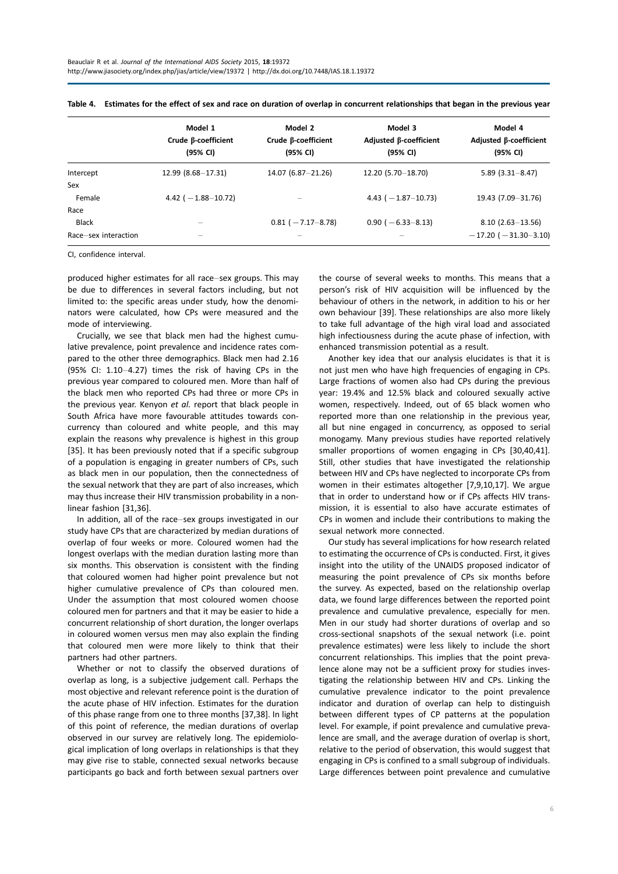|                      | Model 1<br>Crude β-coefficient<br>(95% CI) | Model 2<br>Crude $\beta$ -coefficient<br>(95% CI) | Model 3<br>Adjusted β-coefficient<br>(95% CI) | Model 4<br>Adjusted β-coefficient<br>(95% CI) |
|----------------------|--------------------------------------------|---------------------------------------------------|-----------------------------------------------|-----------------------------------------------|
| Intercept            | $12.99(8.68 - 17.31)$                      | 14.07 (6.87 - 21.26)                              | 12.20 (5.70 - 18.70)                          | $5.89(3.31 - 8.47)$                           |
| Sex                  |                                            |                                                   |                                               |                                               |
| Female               | 4.42 ( $-1.88-10.72$ )                     |                                                   | 4.43 $(-1.87-10.73)$                          | 19.43 (7.09 - 31.76)                          |
| Race                 |                                            |                                                   |                                               |                                               |
| <b>Black</b>         | $\overline{\phantom{0}}$                   | $0.81 (-7.17 - 8.78)$                             | $0.90 (-6.33 - 8.13)$                         | $8.10(2.63 - 13.56)$                          |
| Race-sex interaction |                                            |                                                   |                                               | $-17.20$ ( $-31.30-3.10$ )                    |

Table 4. Estimates for the effect of sex and race on duration of overlap in concurrent relationships that began in the previous year

CI, confidence interval.

produced higher estimates for all race-sex groups. This may be due to differences in several factors including, but not limited to: the specific areas under study, how the denominators were calculated, how CPs were measured and the mode of interviewing.

Crucially, we see that black men had the highest cumulative prevalence, point prevalence and incidence rates compared to the other three demographics. Black men had 2.16 (95% CI:  $1.10-4.27$ ) times the risk of having CPs in the previous year compared to coloured men. More than half of the black men who reported CPs had three or more CPs in the previous year. Kenyon et al. report that black people in South Africa have more favourable attitudes towards concurrency than coloured and white people, and this may explain the reasons why prevalence is highest in this group [35]. It has been previously noted that if a specific subgroup of a population is engaging in greater numbers of CPs, such as black men in our population, then the connectedness of the sexual network that they are part of also increases, which may thus increase their HIV transmission probability in a nonlinear fashion [31,36].

In addition, all of the race-sex groups investigated in our study have CPs that are characterized by median durations of overlap of four weeks or more. Coloured women had the longest overlaps with the median duration lasting more than six months. This observation is consistent with the finding that coloured women had higher point prevalence but not higher cumulative prevalence of CPs than coloured men. Under the assumption that most coloured women choose coloured men for partners and that it may be easier to hide a concurrent relationship of short duration, the longer overlaps in coloured women versus men may also explain the finding that coloured men were more likely to think that their partners had other partners.

Whether or not to classify the observed durations of overlap as long, is a subjective judgement call. Perhaps the most objective and relevant reference point is the duration of the acute phase of HIV infection. Estimates for the duration of this phase range from one to three months [37,38]. In light of this point of reference, the median durations of overlap observed in our survey are relatively long. The epidemiological implication of long overlaps in relationships is that they may give rise to stable, connected sexual networks because participants go back and forth between sexual partners over

the course of several weeks to months. This means that a person's risk of HIV acquisition will be influenced by the behaviour of others in the network, in addition to his or her own behaviour [39]. These relationships are also more likely to take full advantage of the high viral load and associated high infectiousness during the acute phase of infection, with enhanced transmission potential as a result.

Another key idea that our analysis elucidates is that it is not just men who have high frequencies of engaging in CPs. Large fractions of women also had CPs during the previous year: 19.4% and 12.5% black and coloured sexually active women, respectively. Indeed, out of 65 black women who reported more than one relationship in the previous year, all but nine engaged in concurrency, as opposed to serial monogamy. Many previous studies have reported relatively smaller proportions of women engaging in CPs [30,40,41]. Still, other studies that have investigated the relationship between HIV and CPs have neglected to incorporate CPs from women in their estimates altogether [7,9,10,17]. We argue that in order to understand how or if CPs affects HIV transmission, it is essential to also have accurate estimates of CPs in women and include their contributions to making the sexual network more connected.

Our study has several implications for how research related to estimating the occurrence of CPs is conducted. First, it gives insight into the utility of the UNAIDS proposed indicator of measuring the point prevalence of CPs six months before the survey. As expected, based on the relationship overlap data, we found large differences between the reported point prevalence and cumulative prevalence, especially for men. Men in our study had shorter durations of overlap and so cross-sectional snapshots of the sexual network (i.e. point prevalence estimates) were less likely to include the short concurrent relationships. This implies that the point prevalence alone may not be a sufficient proxy for studies investigating the relationship between HIV and CPs. Linking the cumulative prevalence indicator to the point prevalence indicator and duration of overlap can help to distinguish between different types of CP patterns at the population level. For example, if point prevalence and cumulative prevalence are small, and the average duration of overlap is short, relative to the period of observation, this would suggest that engaging in CPs is confined to a small subgroup of individuals. Large differences between point prevalence and cumulative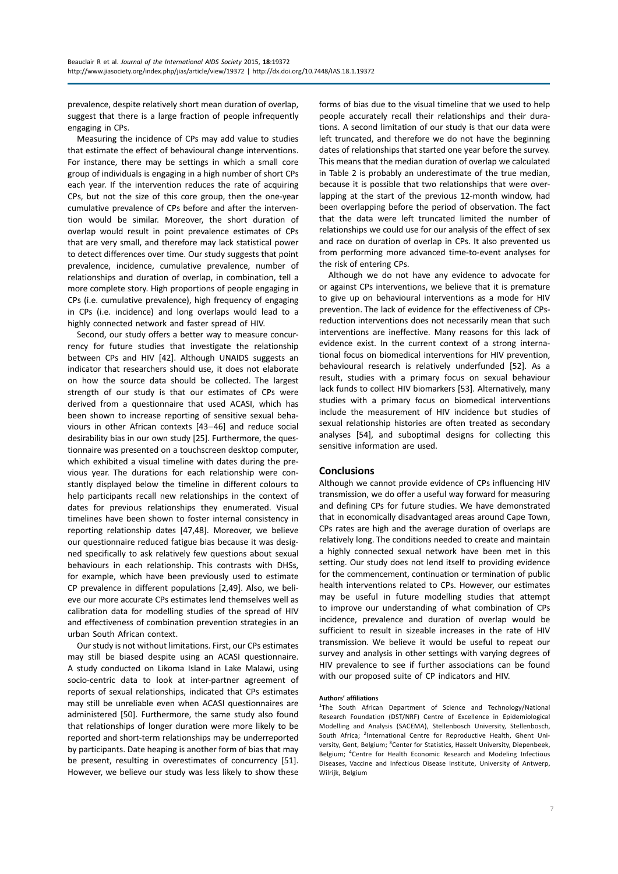prevalence, despite relatively short mean duration of overlap, suggest that there is a large fraction of people infrequently engaging in CPs.

Measuring the incidence of CPs may add value to studies that estimate the effect of behavioural change interventions. For instance, there may be settings in which a small core group of individuals is engaging in a high number of short CPs each year. If the intervention reduces the rate of acquiring CPs, but not the size of this core group, then the one-year cumulative prevalence of CPs before and after the intervention would be similar. Moreover, the short duration of overlap would result in point prevalence estimates of CPs that are very small, and therefore may lack statistical power to detect differences over time. Our study suggests that point prevalence, incidence, cumulative prevalence, number of relationships and duration of overlap, in combination, tell a more complete story. High proportions of people engaging in CPs (i.e. cumulative prevalence), high frequency of engaging in CPs (i.e. incidence) and long overlaps would lead to a highly connected network and faster spread of HIV.

Second, our study offers a better way to measure concurrency for future studies that investigate the relationship between CPs and HIV [42]. Although UNAIDS suggests an indicator that researchers should use, it does not elaborate on how the source data should be collected. The largest strength of our study is that our estimates of CPs were derived from a questionnaire that used ACASI, which has been shown to increase reporting of sensitive sexual behaviours in other African contexts  $[43-46]$  and reduce social desirability bias in our own study [25]. Furthermore, the questionnaire was presented on a touchscreen desktop computer, which exhibited a visual timeline with dates during the previous year. The durations for each relationship were constantly displayed below the timeline in different colours to help participants recall new relationships in the context of dates for previous relationships they enumerated. Visual timelines have been shown to foster internal consistency in reporting relationship dates [47,48]. Moreover, we believe our questionnaire reduced fatigue bias because it was designed specifically to ask relatively few questions about sexual behaviours in each relationship. This contrasts with DHSs, for example, which have been previously used to estimate CP prevalence in different populations [2,49]. Also, we believe our more accurate CPs estimates lend themselves well as calibration data for modelling studies of the spread of HIV and effectiveness of combination prevention strategies in an urban South African context.

Our study is not without limitations. First, our CPs estimates may still be biased despite using an ACASI questionnaire. A study conducted on Likoma Island in Lake Malawi, using socio-centric data to look at inter-partner agreement of reports of sexual relationships, indicated that CPs estimates may still be unreliable even when ACASI questionnaires are administered [50]. Furthermore, the same study also found that relationships of longer duration were more likely to be reported and short-term relationships may be underreported by participants. Date heaping is another form of bias that may be present, resulting in overestimates of concurrency [51]. However, we believe our study was less likely to show these

forms of bias due to the visual timeline that we used to help people accurately recall their relationships and their durations. A second limitation of our study is that our data were left truncated, and therefore we do not have the beginning dates of relationships that started one year before the survey. This means that the median duration of overlap we calculated in Table 2 is probably an underestimate of the true median, because it is possible that two relationships that were overlapping at the start of the previous 12-month window, had been overlapping before the period of observation. The fact that the data were left truncated limited the number of relationships we could use for our analysis of the effect of sex and race on duration of overlap in CPs. It also prevented us from performing more advanced time-to-event analyses for the risk of entering CPs.

Although we do not have any evidence to advocate for or against CPs interventions, we believe that it is premature to give up on behavioural interventions as a mode for HIV prevention. The lack of evidence for the effectiveness of CPsreduction interventions does not necessarily mean that such interventions are ineffective. Many reasons for this lack of evidence exist. In the current context of a strong international focus on biomedical interventions for HIV prevention, behavioural research is relatively underfunded [52]. As a result, studies with a primary focus on sexual behaviour lack funds to collect HIV biomarkers [53]. Alternatively, many studies with a primary focus on biomedical interventions include the measurement of HIV incidence but studies of sexual relationship histories are often treated as secondary analyses [54], and suboptimal designs for collecting this sensitive information are used.

## **Conclusions**

Although we cannot provide evidence of CPs influencing HIV transmission, we do offer a useful way forward for measuring and defining CPs for future studies. We have demonstrated that in economically disadvantaged areas around Cape Town, CPs rates are high and the average duration of overlaps are relatively long. The conditions needed to create and maintain a highly connected sexual network have been met in this setting. Our study does not lend itself to providing evidence for the commencement, continuation or termination of public health interventions related to CPs. However, our estimates may be useful in future modelling studies that attempt to improve our understanding of what combination of CPs incidence, prevalence and duration of overlap would be sufficient to result in sizeable increases in the rate of HIV transmission. We believe it would be useful to repeat our survey and analysis in other settings with varying degrees of HIV prevalence to see if further associations can be found with our proposed suite of CP indicators and HIV.

#### Authors' affiliations

<sup>1</sup>The South African Department of Science and Technology/National Research Foundation (DST/NRF) Centre of Excellence in Epidemiological Modelling and Analysis (SACEMA), Stellenbosch University, Stellenbosch, South Africa; <sup>2</sup>International Centre for Reproductive Health, Ghent University, Gent, Belgium; <sup>3</sup>Center for Statistics, Hasselt University, Diepenbeek, Belgium; <sup>4</sup>Centre for Health Economic Research and Modeling Infectious Diseases, Vaccine and Infectious Disease Institute, University of Antwerp, Wilrijk, Belgium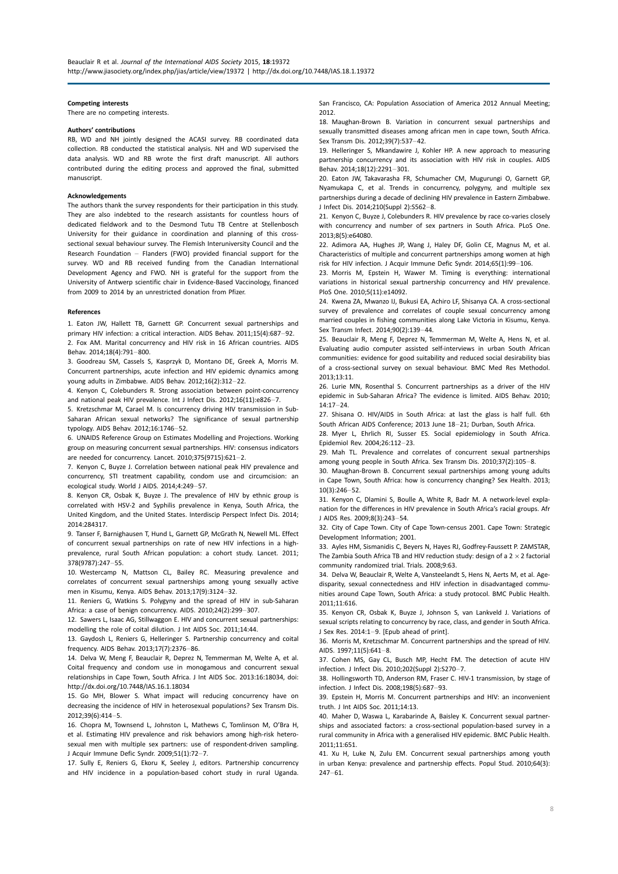#### Competing interests

There are no competing interests.

#### Authors' contributions

RB, WD and NH jointly designed the ACASI survey. RB coordinated data collection. RB conducted the statistical analysis. NH and WD supervised the data analysis. WD and RB wrote the first draft manuscript. All authors contributed during the editing process and approved the final, submitted manuscript.

#### Acknowledgements

The authors thank the survey respondents for their participation in this study. They are also indebted to the research assistants for countless hours of dedicated fieldwork and to the Desmond Tutu TB Centre at Stellenbosch University for their guidance in coordination and planning of this crosssectional sexual behaviour survey. The Flemish Interuniversity Council and the Research Foundation  $-$  Flanders (FWO) provided financial support for the survey. WD and RB received funding from the Canadian International Development Agency and FWO. NH is grateful for the support from the University of Antwerp scientific chair in Evidence-Based Vaccinology, financed from 2009 to 2014 by an unrestricted donation from Pfizer.

#### References

1. Eaton JW, Hallett TB, Garnett GP. Concurrent sexual partnerships and primary HIV infection: a critical interaction. AIDS Behav. 2011;15(4):687-92. 2. Fox AM. Marital concurrency and HIV risk in 16 African countries. AIDS Behav. 2014:18(4):791-800.

3. Goodreau SM, Cassels S, Kasprzyk D, Montano DE, Greek A, Morris M. Concurrent partnerships, acute infection and HIV epidemic dynamics among young adults in Zimbabwe. AIDS Behav.  $2012;16(2):312-22$ .

4. Kenyon C, Colebunders R. Strong association between point-concurrency and national peak HIV prevalence. Int J Infect Dis. 2012:16(11):e826-7.

5. Kretzschmar M, Carael M. Is concurrency driving HIV transmission in Sub-Saharan African sexual networks? The significance of sexual partnership typology. AIDS Behav. 2012:16:1746-52.

6. UNAIDS Reference Group on Estimates Modelling and Projections. Working group on measuring concurrent sexual partnerships. HIV: consensus indicators are needed for concurrency. Lancet.  $2010;375(9715):621-2$ .

7. Kenyon C, Buyze J. Correlation between national peak HIV prevalence and concurrency, STI treatment capability, condom use and circumcision: an ecological study. World J AIDS. 2014;4:249-57.

8. Kenyon CR, Osbak K, Buyze J. The prevalence of HIV by ethnic group is correlated with HSV-2 and Syphilis prevalence in Kenya, South Africa, the United Kingdom, and the United States. Interdiscip Perspect Infect Dis. 2014; 2014:284317.

9. Tanser F, Barnighausen T, Hund L, Garnett GP, McGrath N, Newell ML. Effect of concurrent sexual partnerships on rate of new HIV infections in a highprevalence, rural South African population: a cohort study. Lancet. 2011; 378(9787):247-55.

10. Westercamp N, Mattson CL, Bailey RC. Measuring prevalence and correlates of concurrent sexual partnerships among young sexually active men in Kisumu, Kenya. AIDS Behav. 2013;17(9):3124-32.

11. Reniers G, Watkins S. Polygyny and the spread of HIV in sub-Saharan Africa: a case of benign concurrency. AIDS. 2010;24(2):299-307.

12. Sawers L, Isaac AG, Stillwaggon E. HIV and concurrent sexual partnerships: modelling the role of coital dilution. J Int AIDS Soc. 2011;14:44.

13. Gaydosh L, Reniers G, Helleringer S. Partnership concurrency and coital frequency. AIDS Behav. 2013:17(7):2376-86.

14. Delva W, Meng F, Beauclair R, Deprez N, Temmerman M, Welte A, et al. Coital frequency and condom use in monogamous and concurrent sexual relationships in Cape Town, South Africa. J Int AIDS Soc. 2013:16:18034, doi: <http://dx.doi.org/10.7448/IAS.16.1.18034>

15. Go MH, Blower S. What impact will reducing concurrency have on decreasing the incidence of HIV in heterosexual populations? Sex Transm Dis. 2012;39(6):414-5.

16. Chopra M, Townsend L, Johnston L, Mathews C, Tomlinson M, O'Bra H, et al. Estimating HIV prevalence and risk behaviors among high-risk heterosexual men with multiple sex partners: use of respondent-driven sampling. J Acquir Immune Defic Syndr. 2009;51(1):72-7.

17. Sully E, Reniers G, Ekoru K, Seeley J, editors. Partnership concurrency and HIV incidence in a population-based cohort study in rural Uganda. San Francisco, CA: Population Association of America 2012 Annual Meeting; 2012.

18. Maughan-Brown B. Variation in concurrent sexual partnerships and sexually transmitted diseases among african men in cape town, South Africa. Sex Transm Dis. 2012;39(7):53742.

19. Helleringer S, Mkandawire J, Kohler HP. A new approach to measuring partnership concurrency and its association with HIV risk in couples. AIDS Behav. 2014;18(12):2291-301.

20. Eaton JW, Takavarasha FR, Schumacher CM, Mugurungi O, Garnett GP, Nyamukapa C, et al. Trends in concurrency, polygyny, and multiple sex partnerships during a decade of declining HIV prevalence in Eastern Zimbabwe. J Infect Dis. 2014;210(Suppl 2):S562-8.

21. Kenyon C, Buyze J, Colebunders R. HIV prevalence by race co-varies closely with concurrency and number of sex partners in South Africa. PLoS One. 2013;8(5):e64080.

22. Adimora AA, Hughes JP, Wang J, Haley DF, Golin CE, Magnus M, et al. Characteristics of multiple and concurrent partnerships among women at high risk for HIV infection. J Acquir Immune Defic Syndr. 2014;65(1):99-106.

23. Morris M, Epstein H, Wawer M. Timing is everything: international variations in historical sexual partnership concurrency and HIV prevalence. PloS One. 2010;5(11):e14092.

24. Kwena ZA, Mwanzo IJ, Bukusi EA, Achiro LF, Shisanya CA. A cross-sectional survey of prevalence and correlates of couple sexual concurrency among married couples in fishing communities along Lake Victoria in Kisumu, Kenya. Sex Transm Infect. 2014:90(2):139-44.

25. Beauclair R, Meng F, Deprez N, Temmerman M, Welte A, Hens N, et al. Evaluating audio computer assisted self-interviews in urban South African communities: evidence for good suitability and reduced social desirability bias of a cross-sectional survey on sexual behaviour. BMC Med Res Methodol. 2013;13:11.

26. Lurie MN, Rosenthal S. Concurrent partnerships as a driver of the HIV epidemic in Sub-Saharan Africa? The evidence is limited. AIDS Behav. 2010;  $14:17 - 24.$ 

27. Shisana O. HIV/AIDS in South Africa: at last the glass is half full. 6th South African AIDS Conference; 2013 June 18-21; Durban, South Africa.

28. Myer L, Ehrlich RI, Susser ES. Social epidemiology in South Africa. Epidemiol Rev. 2004:26:112-23.

29. Mah TL. Prevalence and correlates of concurrent sexual partnerships among young people in South Africa. Sex Transm Dis.  $2010;37(2):105-8$ .

30. Maughan-Brown B. Concurrent sexual partnerships among young adults in Cape Town, South Africa: how is concurrency changing? Sex Health. 2013;  $10(3):246-52.$ 

31. Kenyon C, Dlamini S, Boulle A, White R, Badr M. A network-level explanation for the differences in HIV prevalence in South Africa's racial groups. Afr J AIDS Res. 2009;8(3):243-54.

32. City of Cape Town. City of Cape Town-census 2001. Cape Town: Strategic Development Information; 2001.

33. Ayles HM, Sismanidis C, Beyers N, Hayes RJ, Godfrey-Faussett P. ZAMSTAR, The Zambia South Africa TB and HIV reduction study: design of a 2  $\times$  2 factorial community randomized trial. Trials. 2008;9:63.

34. Delva W, Beauclair R, Welte A, Vansteelandt S, Hens N, Aerts M, et al. Agedisparity, sexual connectedness and HIV infection in disadvantaged communities around Cape Town, South Africa: a study protocol. BMC Public Health. 2011;11:616.

35. Kenyon CR, Osbak K, Buyze J, Johnson S, van Lankveld J. Variations of sexual scripts relating to concurrency by race, class, and gender in South Africa. J Sex Res. 2014:1-9. [Epub ahead of print].

36. Morris M, Kretzschmar M. Concurrent partnerships and the spread of HIV. AIDS. 1997:11(5):641-8.

37. Cohen MS, Gay CL, Busch MP, Hecht FM. The detection of acute HIV infection. J Infect Dis. 2010;202(Suppl 2):S270-7.

38. Hollingsworth TD, Anderson RM, Fraser C. HIV-1 transmission, by stage of infection. J Infect Dis. 2008;198(5):687-93.

39. Epstein H, Morris M. Concurrent partnerships and HIV: an inconvenient truth. J Int AIDS Soc. 2011;14:13.

40. Maher D, Waswa L, Karabarinde A, Baisley K. Concurrent sexual partnerships and associated factors: a cross-sectional population-based survey in a rural community in Africa with a generalised HIV epidemic. BMC Public Health. 2011;11:651.

41. Xu H, Luke N, Zulu EM. Concurrent sexual partnerships among youth in urban Kenya: prevalence and partnership effects. Popul Stud. 2010;64(3):  $247 - 61$